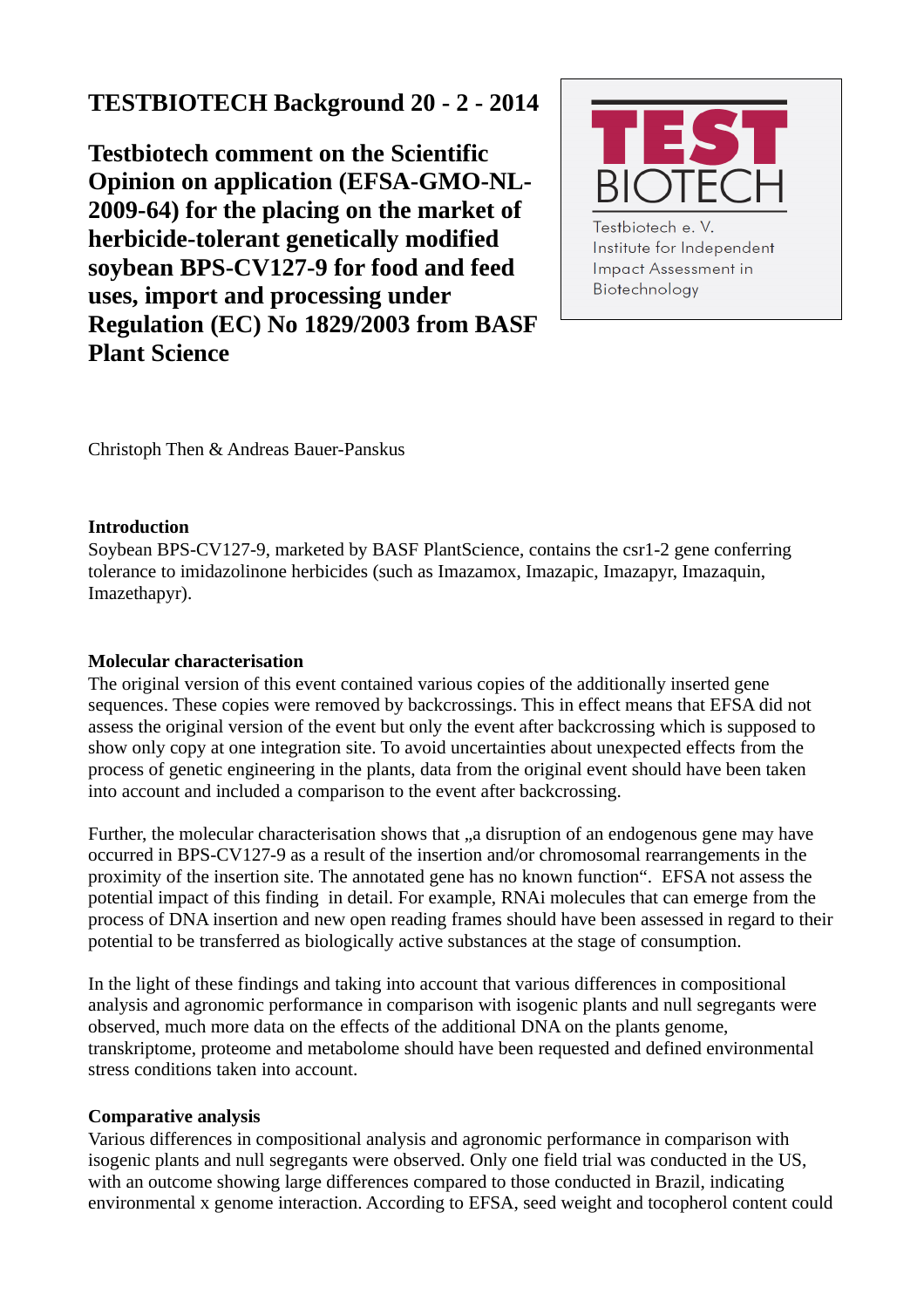# **TESTBIOTECH Background 20 - 2 - 2014**

**Testbiotech comment on the Scientific Opinion on application (EFSA-GMO-NL-2009-64) for the placing on the market of herbicide-tolerant genetically modified soybean BPS-CV127-9 for food and feed uses, import and processing under Regulation (EC) No 1829/2003 from BASF Plant Science**



Institute for Independent **Impact Assessment in** Biotechnology

Christoph Then & Andreas Bauer-Panskus

## **Introduction**

Soybean BPS-CV127-9, marketed by BASF PlantScience, contains the csr1-2 gene conferring tolerance to imidazolinone herbicides (such as Imazamox, Imazapic, Imazapyr, Imazaquin, Imazethapyr).

# **Molecular characterisation**

The original version of this event contained various copies of the additionally inserted gene sequences. These copies were removed by backcrossings. This in effect means that EFSA did not assess the original version of the event but only the event after backcrossing which is supposed to show only copy at one integration site. To avoid uncertainties about unexpected effects from the process of genetic engineering in the plants, data from the original event should have been taken into account and included a comparison to the event after backcrossing.

Further, the molecular characterisation shows that "a disruption of an endogenous gene may have occurred in BPS-CV127-9 as a result of the insertion and/or chromosomal rearrangements in the proximity of the insertion site. The annotated gene has no known function". EFSA not assess the potential impact of this finding in detail. For example, RNAi molecules that can emerge from the process of DNA insertion and new open reading frames should have been assessed in regard to their potential to be transferred as biologically active substances at the stage of consumption.

In the light of these findings and taking into account that various differences in compositional analysis and agronomic performance in comparison with isogenic plants and null segregants were observed, much more data on the effects of the additional DNA on the plants genome, transkriptome, proteome and metabolome should have been requested and defined environmental stress conditions taken into account.

# **Comparative analysis**

Various differences in compositional analysis and agronomic performance in comparison with isogenic plants and null segregants were observed. Only one field trial was conducted in the US, with an outcome showing large differences compared to those conducted in Brazil, indicating environmental x genome interaction. According to EFSA, seed weight and tocopherol content could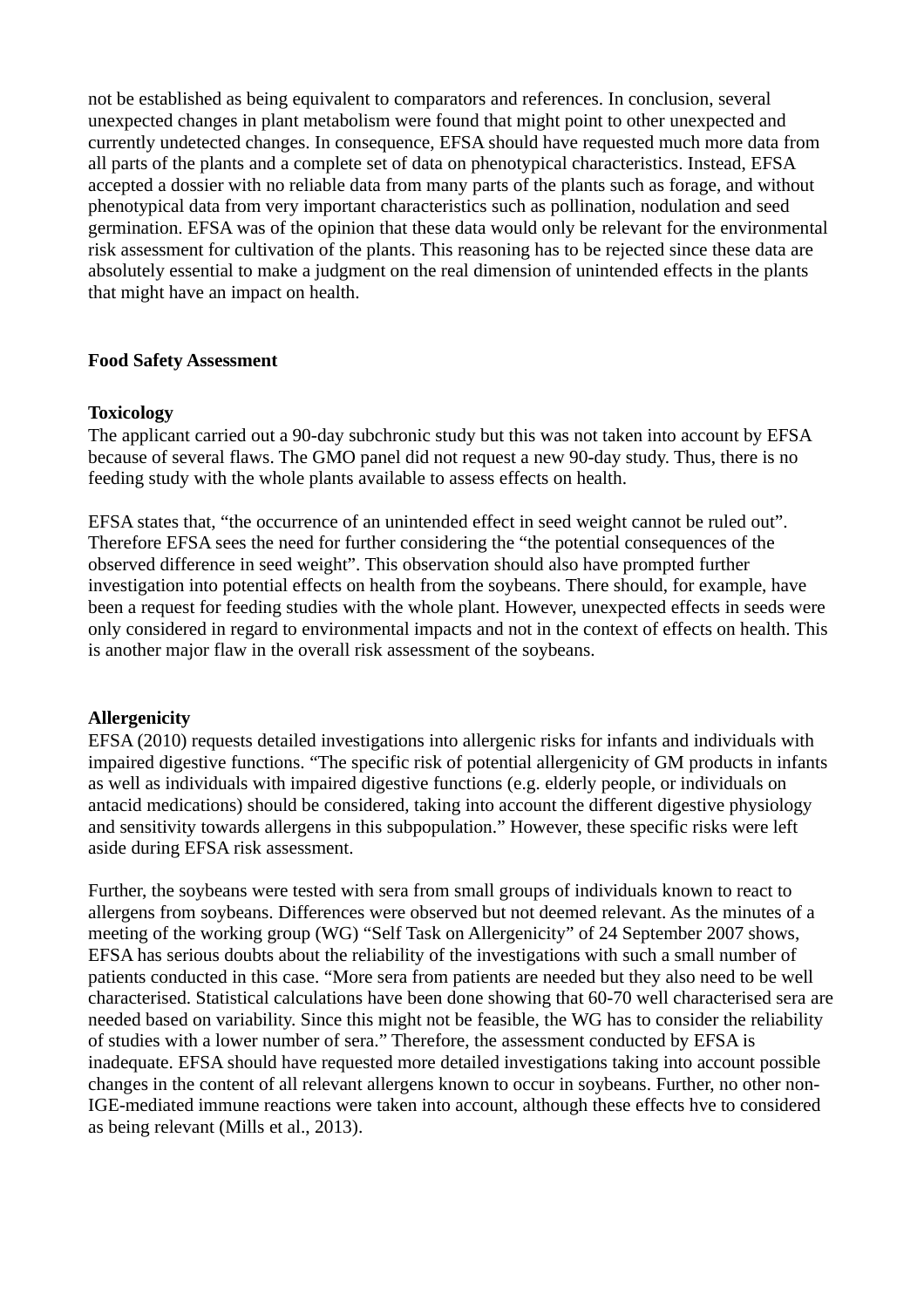not be established as being equivalent to comparators and references. In conclusion, several unexpected changes in plant metabolism were found that might point to other unexpected and currently undetected changes. In consequence, EFSA should have requested much more data from all parts of the plants and a complete set of data on phenotypical characteristics. Instead, EFSA accepted a dossier with no reliable data from many parts of the plants such as forage, and without phenotypical data from very important characteristics such as pollination, nodulation and seed germination. EFSA was of the opinion that these data would only be relevant for the environmental risk assessment for cultivation of the plants. This reasoning has to be rejected since these data are absolutely essential to make a judgment on the real dimension of unintended effects in the plants that might have an impact on health.

#### **Food Safety Assessment**

## **Toxicology**

The applicant carried out a 90-day subchronic study but this was not taken into account by EFSA because of several flaws. The GMO panel did not request a new 90-day study. Thus, there is no feeding study with the whole plants available to assess effects on health.

EFSA states that, "the occurrence of an unintended effect in seed weight cannot be ruled out". Therefore EFSA sees the need for further considering the "the potential consequences of the observed difference in seed weight". This observation should also have prompted further investigation into potential effects on health from the soybeans. There should, for example, have been a request for feeding studies with the whole plant. However, unexpected effects in seeds were only considered in regard to environmental impacts and not in the context of effects on health. This is another major flaw in the overall risk assessment of the soybeans.

# **Allergenicity**

EFSA (2010) requests detailed investigations into allergenic risks for infants and individuals with impaired digestive functions. "The specific risk of potential allergenicity of GM products in infants as well as individuals with impaired digestive functions (e.g. elderly people, or individuals on antacid medications) should be considered, taking into account the different digestive physiology and sensitivity towards allergens in this subpopulation." However, these specific risks were left aside during EFSA risk assessment.

Further, the soybeans were tested with sera from small groups of individuals known to react to allergens from soybeans. Differences were observed but not deemed relevant. As the minutes of a meeting of the working group (WG) "Self Task on Allergenicity" of 24 September 2007 shows, EFSA has serious doubts about the reliability of the investigations with such a small number of patients conducted in this case. "More sera from patients are needed but they also need to be well characterised. Statistical calculations have been done showing that 60-70 well characterised sera are needed based on variability. Since this might not be feasible, the WG has to consider the reliability of studies with a lower number of sera." Therefore, the assessment conducted by EFSA is inadequate. EFSA should have requested more detailed investigations taking into account possible changes in the content of all relevant allergens known to occur in soybeans. Further, no other non-IGE-mediated immune reactions were taken into account, although these effects hve to considered as being relevant (Mills et al., 2013).